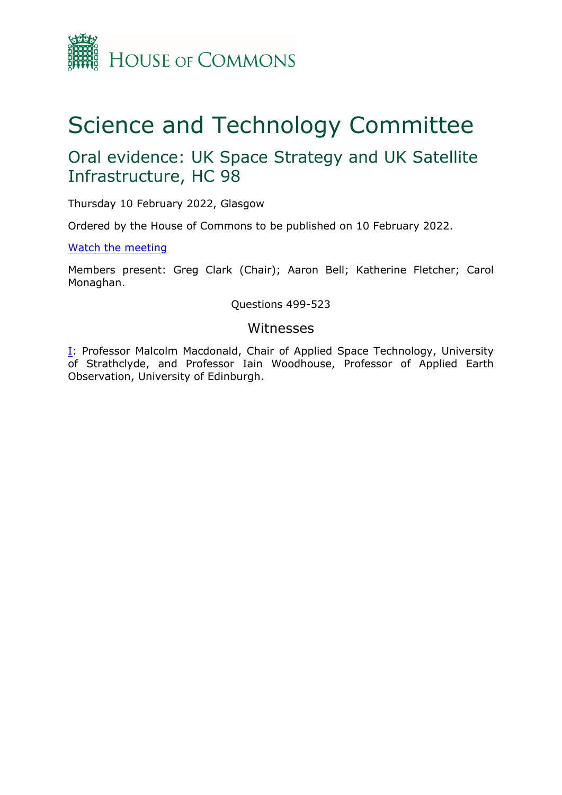

# Science and Technology Committee

## Oral evidence: UK Space Strategy and UK Satellite Infrastructure, HC 98

Thursday 10 February 2022, Glasgow

Ordered by the House of Commons to be published on 10 February 2022.

[Watch](https://www.youtube.com/watch?v=W0356drKcBo) [the](https://www.youtube.com/watch?v=W0356drKcBo) [meeting](https://www.youtube.com/watch?v=W0356drKcBo)

Members present: Greg Clark (Chair); Aaron Bell; Katherine Fletcher; Carol Monaghan.

Questions 499-523

#### Witnesses

[I:](#page-1-0) Professor Malcolm Macdonald, Chair of Applied Space Technology, University of Strathclyde, and Professor Iain Woodhouse, Professor of Applied Earth Observation, University of Edinburgh.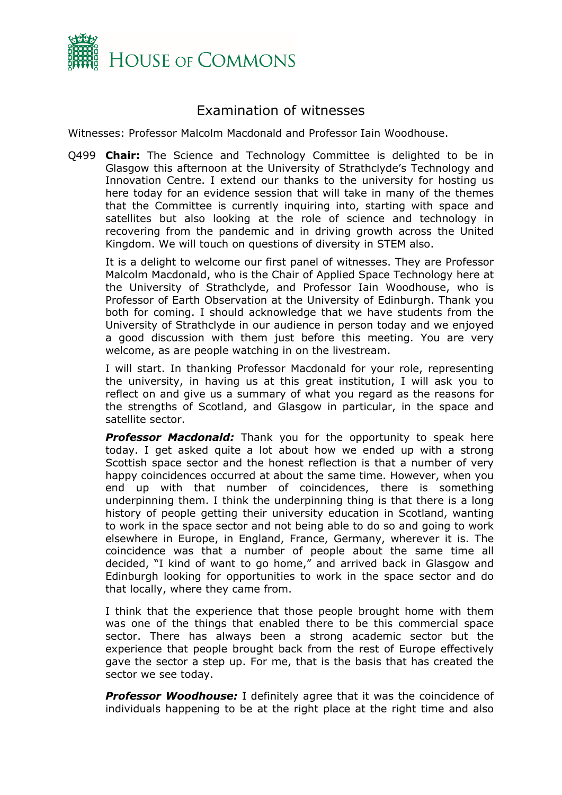

### <span id="page-1-0"></span>Examination of witnesses

Witnesses: Professor Malcolm Macdonald and Professor Iain Woodhouse.

Q499 **Chair:** The Science and Technology Committee is delighted to be in Glasgow this afternoon at the University of Strathclyde's Technology and Innovation Centre. I extend our thanks to the university for hosting us here today for an evidence session that will take in many of the themes that the Committee is currently inquiring into, starting with space and satellites but also looking at the role of science and technology in recovering from the pandemic and in driving growth across the United Kingdom. We will touch on questions of diversity in STEM also.

It is a delight to welcome our first panel of witnesses. They are Professor Malcolm Macdonald, who is the Chair of Applied Space Technology here at the University of Strathclyde, and Professor Iain Woodhouse, who is Professor of Earth Observation at the University of Edinburgh. Thank you both for coming. I should acknowledge that we have students from the University of Strathclyde in our audience in person today and we enjoyed a good discussion with them just before this meeting. You are very welcome, as are people watching in on the livestream.

I will start. In thanking Professor Macdonald for your role, representing the university, in having us at this great institution, I will ask you to reflect on and give us a summary of what you regard as the reasons for the strengths of Scotland, and Glasgow in particular, in the space and satellite sector.

**Professor Macdonald:** Thank you for the opportunity to speak here today. I get asked quite a lot about how we ended up with a strong Scottish space sector and the honest reflection is that a number of very happy coincidences occurred at about the same time. However, when you end up with that number of coincidences, there is something underpinning them. I think the underpinning thing is that there is a long history of people getting their university education in Scotland, wanting to work in the space sector and not being able to do so and going to work elsewhere in Europe, in England, France, Germany, wherever it is. The coincidence was that a number of people about the same time all decided, "I kind of want to go home," and arrived back in Glasgow and Edinburgh looking for opportunities to work in the space sector and do that locally, where they came from.

I think that the experience that those people brought home with them was one of the things that enabled there to be this commercial space sector. There has always been a strong academic sector but the experience that people brought back from the rest of Europe effectively gave the sector a step up. For me, that is the basis that has created the sector we see today.

*Professor Woodhouse:* I definitely agree that it was the coincidence of individuals happening to be at the right place at the right time and also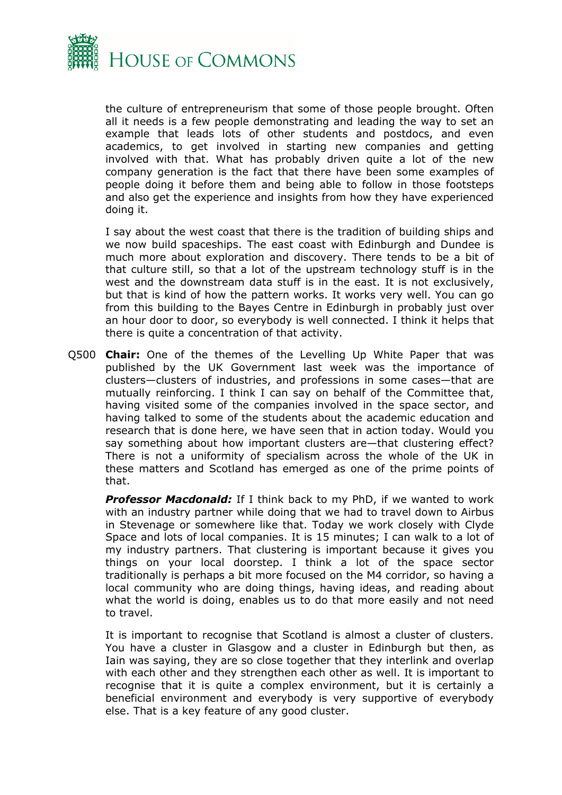

the culture of entrepreneurism that some of those people brought. Often all it needs is a few people demonstrating and leading the way to set an example that leads lots of other students and postdocs, and even academics, to get involved in starting new companies and getting involved with that. What has probably driven quite a lot of the new company generation is the fact that there have been some examples of people doing it before them and being able to follow in those footsteps and also get the experience and insights from how they have experienced doing it.

I say about the west coast that there is the tradition of building ships and we now build spaceships. The east coast with Edinburgh and Dundee is much more about exploration and discovery. There tends to be a bit of that culture still, so that a lot of the upstream technology stuff is in the west and the downstream data stuff is in the east. It is not exclusively, but that is kind of how the pattern works. It works very well. You can go from this building to the Bayes Centre in Edinburgh in probably just over an hour door to door, so everybody is well connected. I think it helps that there is quite a concentration of that activity.

Q500 **Chair:** One of the themes of the Levelling Up White Paper that was published by the UK Government last week was the importance of clusters—clusters of industries, and professions in some cases—that are mutually reinforcing. I think I can say on behalf of the Committee that, having visited some of the companies involved in the space sector, and having talked to some of the students about the academic education and research that is done here, we have seen that in action today. Would you say something about how important clusters are—that clustering effect? There is not a uniformity of specialism across the whole of the UK in these matters and Scotland has emerged as one of the prime points of that.

*Professor Macdonald:* If I think back to my PhD, if we wanted to work with an industry partner while doing that we had to travel down to Airbus in Stevenage or somewhere like that. Today we work closely with Clyde Space and lots of local companies. It is 15 minutes; I can walk to a lot of my industry partners. That clustering is important because it gives you things on your local doorstep. I think a lot of the space sector traditionally is perhaps a bit more focused on the M4 corridor, so having a local community who are doing things, having ideas, and reading about what the world is doing, enables us to do that more easily and not need to travel.

It is important to recognise that Scotland is almost a cluster of clusters. You have a cluster in Glasgow and a cluster in Edinburgh but then, as Iain was saying, they are so close together that they interlink and overlap with each other and they strengthen each other as well. It is important to recognise that it is quite a complex environment, but it is certainly a beneficial environment and everybody is very supportive of everybody else. That is a key feature of any good cluster.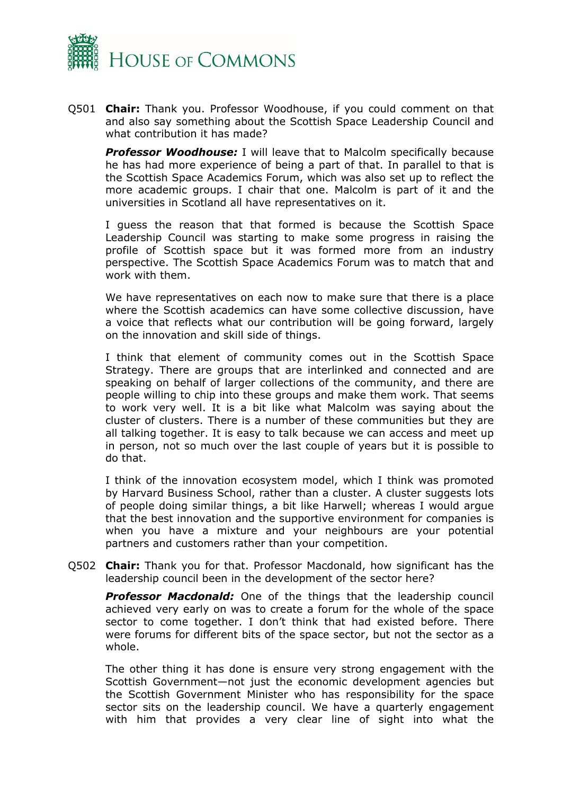

Q501 **Chair:** Thank you. Professor Woodhouse, if you could comment on that and also say something about the Scottish Space Leadership Council and what contribution it has made?

*Professor Woodhouse:* I will leave that to Malcolm specifically because he has had more experience of being a part of that. In parallel to that is the Scottish Space Academics Forum, which was also set up to reflect the more academic groups. I chair that one. Malcolm is part of it and the universities in Scotland all have representatives on it.

I guess the reason that that formed is because the Scottish Space Leadership Council was starting to make some progress in raising the profile of Scottish space but it was formed more from an industry perspective. The Scottish Space Academics Forum was to match that and work with them.

We have representatives on each now to make sure that there is a place where the Scottish academics can have some collective discussion, have a voice that reflects what our contribution will be going forward, largely on the innovation and skill side of things.

I think that element of community comes out in the Scottish Space Strategy. There are groups that are interlinked and connected and are speaking on behalf of larger collections of the community, and there are people willing to chip into these groups and make them work. That seems to work very well. It is a bit like what Malcolm was saying about the cluster of clusters. There is a number of these communities but they are all talking together. It is easy to talk because we can access and meet up in person, not so much over the last couple of years but it is possible to do that.

I think of the innovation ecosystem model, which I think was promoted by Harvard Business School, rather than a cluster. A cluster suggests lots of people doing similar things, a bit like Harwell; whereas I would argue that the best innovation and the supportive environment for companies is when you have a mixture and your neighbours are your potential partners and customers rather than your competition.

Q502 **Chair:** Thank you for that. Professor Macdonald, how significant has the leadership council been in the development of the sector here?

*Professor Macdonald:* One of the things that the leadership council achieved very early on was to create a forum for the whole of the space sector to come together. I don't think that had existed before. There were forums for different bits of the space sector, but not the sector as a whole.

The other thing it has done is ensure very strong engagement with the Scottish Government—not just the economic development agencies but the Scottish Government Minister who has responsibility for the space sector sits on the leadership council. We have a quarterly engagement with him that provides a very clear line of sight into what the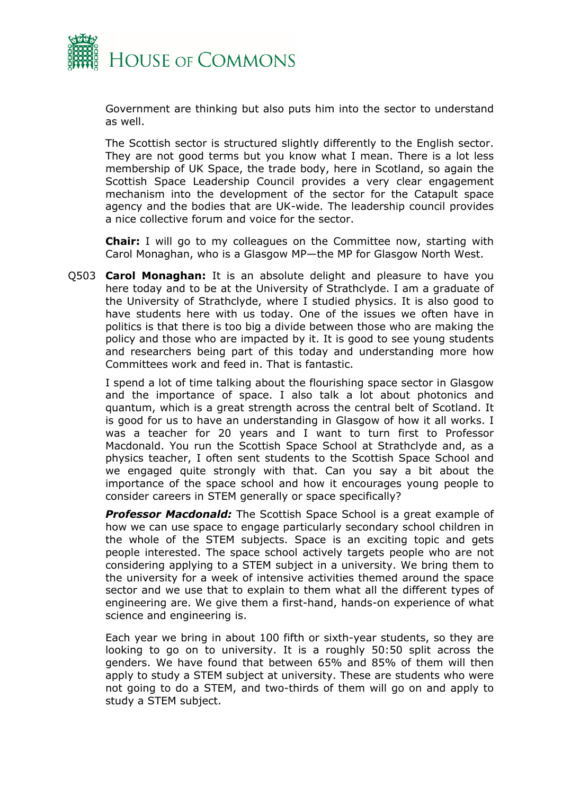

Government are thinking but also puts him into the sector to understand as well.

The Scottish sector is structured slightly differently to the English sector. They are not good terms but you know what I mean. There is a lot less membership of UK Space, the trade body, here in Scotland, so again the Scottish Space Leadership Council provides a very clear engagement mechanism into the development of the sector for the Catapult space agency and the bodies that are UK-wide. The leadership council provides a nice collective forum and voice for the sector.

**Chair:** I will go to my colleagues on the Committee now, starting with Carol Monaghan, who is a Glasgow MP—the MP for Glasgow North West.

Q503 **Carol Monaghan:** It is an absolute delight and pleasure to have you here today and to be at the University of Strathclyde. I am a graduate of the University of Strathclyde, where I studied physics. It is also good to have students here with us today. One of the issues we often have in politics is that there is too big a divide between those who are making the policy and those who are impacted by it. It is good to see young students and researchers being part of this today and understanding more how Committees work and feed in. That is fantastic.

I spend a lot of time talking about the flourishing space sector in Glasgow and the importance of space. I also talk a lot about photonics and quantum, which is a great strength across the central belt of Scotland. It is good for us to have an understanding in Glasgow of how it all works. I was a teacher for 20 years and I want to turn first to Professor Macdonald. You run the Scottish Space School at Strathclyde and, as a physics teacher, I often sent students to the Scottish Space School and we engaged quite strongly with that. Can you say a bit about the importance of the space school and how it encourages young people to consider careers in STEM generally or space specifically?

*Professor Macdonald:* The Scottish Space School is a great example of how we can use space to engage particularly secondary school children in the whole of the STEM subjects. Space is an exciting topic and gets people interested. The space school actively targets people who are not considering applying to a STEM subject in a university. We bring them to the university for a week of intensive activities themed around the space sector and we use that to explain to them what all the different types of engineering are. We give them a first-hand, hands-on experience of what science and engineering is.

Each year we bring in about 100 fifth or sixth-year students, so they are looking to go on to university. It is a roughly 50:50 split across the genders. We have found that between 65% and 85% of them will then apply to study a STEM subject at university. These are students who were not going to do a STEM, and two-thirds of them will go on and apply to study a STEM subject.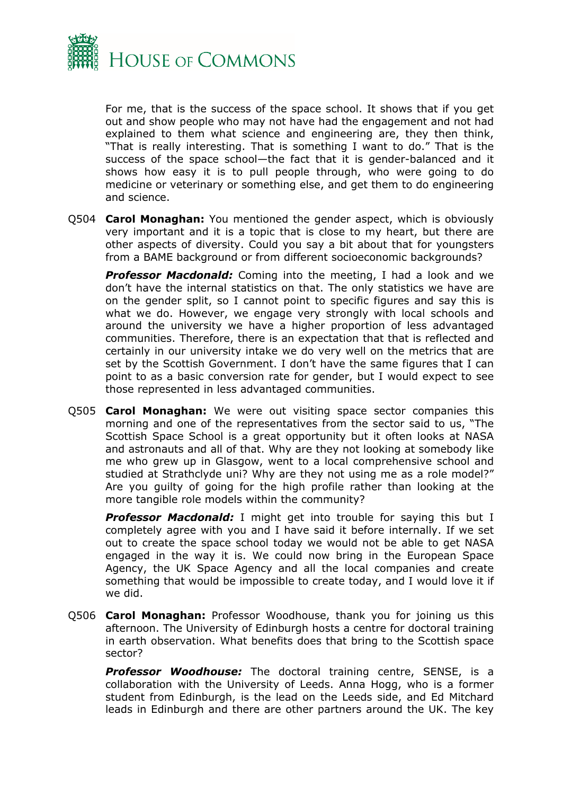

For me, that is the success of the space school. It shows that if you get out and show people who may not have had the engagement and not had explained to them what science and engineering are, they then think, "That is really interesting. That is something I want to do." That is the success of the space school—the fact that it is gender-balanced and it shows how easy it is to pull people through, who were going to do medicine or veterinary or something else, and get them to do engineering and science.

Q504 **Carol Monaghan:** You mentioned the gender aspect, which is obviously very important and it is a topic that is close to my heart, but there are other aspects of diversity. Could you say a bit about that for youngsters from a BAME background or from different socioeconomic backgrounds?

**Professor Macdonald:** Coming into the meeting, I had a look and we don't have the internal statistics on that. The only statistics we have are on the gender split, so I cannot point to specific figures and say this is what we do. However, we engage very strongly with local schools and around the university we have a higher proportion of less advantaged communities. Therefore, there is an expectation that that is reflected and certainly in our university intake we do very well on the metrics that are set by the Scottish Government. I don't have the same figures that I can point to as a basic conversion rate for gender, but I would expect to see those represented in less advantaged communities.

Q505 **Carol Monaghan:** We were out visiting space sector companies this morning and one of the representatives from the sector said to us, "The Scottish Space School is a great opportunity but it often looks at NASA and astronauts and all of that. Why are they not looking at somebody like me who grew up in Glasgow, went to a local comprehensive school and studied at Strathclyde uni? Why are they not using me as a role model?" Are you guilty of going for the high profile rather than looking at the more tangible role models within the community?

*Professor Macdonald:* I might get into trouble for saying this but I completely agree with you and I have said it before internally. If we set out to create the space school today we would not be able to get NASA engaged in the way it is. We could now bring in the European Space Agency, the UK Space Agency and all the local companies and create something that would be impossible to create today, and I would love it if we did.

Q506 **Carol Monaghan:** Professor Woodhouse, thank you for joining us this afternoon. The University of Edinburgh hosts a centre for doctoral training in earth observation. What benefits does that bring to the Scottish space sector?

*Professor Woodhouse:* The doctoral training centre, SENSE, is a collaboration with the University of Leeds. Anna Hogg, who is a former student from Edinburgh, is the lead on the Leeds side, and Ed Mitchard leads in Edinburgh and there are other partners around the UK. The key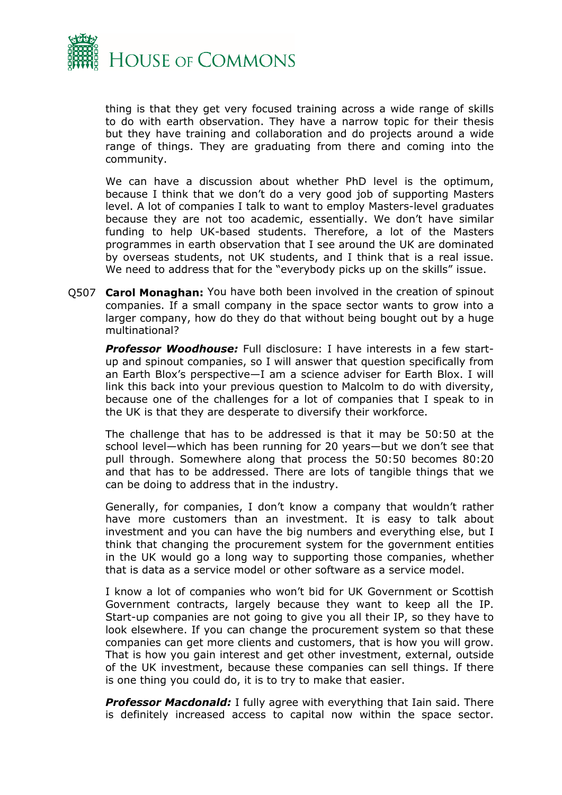

thing is that they get very focused training across a wide range of skills to do with earth observation. They have a narrow topic for their thesis but they have training and collaboration and do projects around a wide range of things. They are graduating from there and coming into the community.

We can have a discussion about whether PhD level is the optimum, because I think that we don't do a very good job of supporting Masters level. A lot of companies I talk to want to employ Masters-level graduates because they are not too academic, essentially. We don't have similar funding to help UK-based students. Therefore, a lot of the Masters programmes in earth observation that I see around the UK are dominated by overseas students, not UK students, and I think that is a real issue. We need to address that for the "everybody picks up on the skills" issue.

Q507 **Carol Monaghan:** You have both been involved in the creation of spinout companies. If a small company in the space sector wants to grow into a larger company, how do they do that without being bought out by a huge multinational?

*Professor Woodhouse:* Full disclosure: I have interests in a few startup and spinout companies, so I will answer that question specifically from an Earth Blox's perspective—I am a science adviser for Earth Blox. I will link this back into your previous question to Malcolm to do with diversity, because one of the challenges for a lot of companies that I speak to in the UK is that they are desperate to diversify their workforce.

The challenge that has to be addressed is that it may be 50:50 at the school level—which has been running for 20 years—but we don't see that pull through. Somewhere along that process the 50:50 becomes 80:20 and that has to be addressed. There are lots of tangible things that we can be doing to address that in the industry.

Generally, for companies, I don't know a company that wouldn't rather have more customers than an investment. It is easy to talk about investment and you can have the big numbers and everything else, but I think that changing the procurement system for the government entities in the UK would go a long way to supporting those companies, whether that is data as a service model or other software as a service model.

I know a lot of companies who won't bid for UK Government or Scottish Government contracts, largely because they want to keep all the IP. Start-up companies are not going to give you all their IP, so they have to look elsewhere. If you can change the procurement system so that these companies can get more clients and customers, that is how you will grow. That is how you gain interest and get other investment, external, outside of the UK investment, because these companies can sell things. If there is one thing you could do, it is to try to make that easier.

*Professor Macdonald:* I fully agree with everything that Iain said. There is definitely increased access to capital now within the space sector.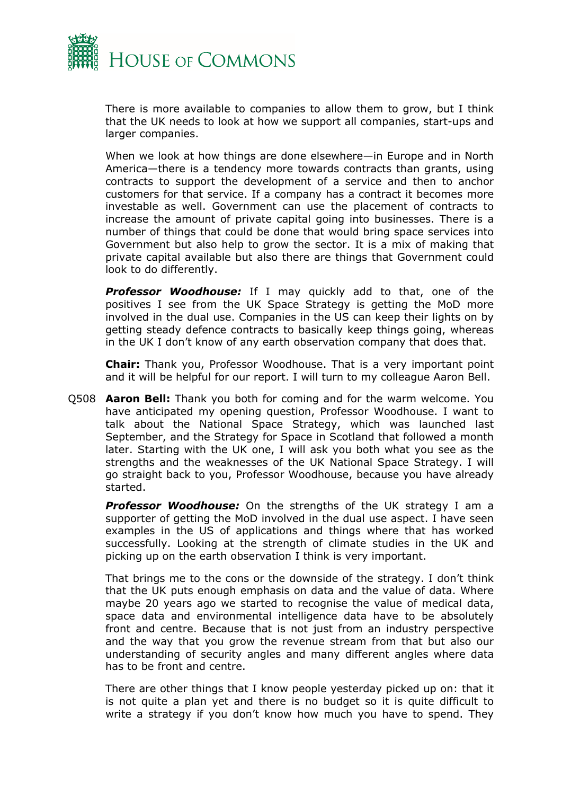

There is more available to companies to allow them to grow, but I think that the UK needs to look at how we support all companies, start-ups and larger companies.

When we look at how things are done elsewhere—in Europe and in North America—there is a tendency more towards contracts than grants, using contracts to support the development of a service and then to anchor customers for that service. If a company has a contract it becomes more investable as well. Government can use the placement of contracts to increase the amount of private capital going into businesses. There is a number of things that could be done that would bring space services into Government but also help to grow the sector. It is a mix of making that private capital available but also there are things that Government could look to do differently.

*Professor Woodhouse:* If I may quickly add to that, one of the positives I see from the UK Space Strategy is getting the MoD more involved in the dual use. Companies in the US can keep their lights on by getting steady defence contracts to basically keep things going, whereas in the UK I don't know of any earth observation company that does that.

**Chair:** Thank you, Professor Woodhouse. That is a very important point and it will be helpful for our report. I will turn to my colleague Aaron Bell.

Q508 **Aaron Bell:** Thank you both for coming and for the warm welcome. You have anticipated my opening question, Professor Woodhouse. I want to talk about the National Space Strategy, which was launched last September, and the Strategy for Space in Scotland that followed a month later. Starting with the UK one, I will ask you both what you see as the strengths and the weaknesses of the UK National Space Strategy. I will go straight back to you, Professor Woodhouse, because you have already started.

*Professor Woodhouse:* On the strengths of the UK strategy I am a supporter of getting the MoD involved in the dual use aspect. I have seen examples in the US of applications and things where that has worked successfully. Looking at the strength of climate studies in the UK and picking up on the earth observation I think is very important.

That brings me to the cons or the downside of the strategy. I don't think that the UK puts enough emphasis on data and the value of data. Where maybe 20 years ago we started to recognise the value of medical data, space data and environmental intelligence data have to be absolutely front and centre. Because that is not just from an industry perspective and the way that you grow the revenue stream from that but also our understanding of security angles and many different angles where data has to be front and centre.

There are other things that I know people yesterday picked up on: that it is not quite a plan yet and there is no budget so it is quite difficult to write a strategy if you don't know how much you have to spend. They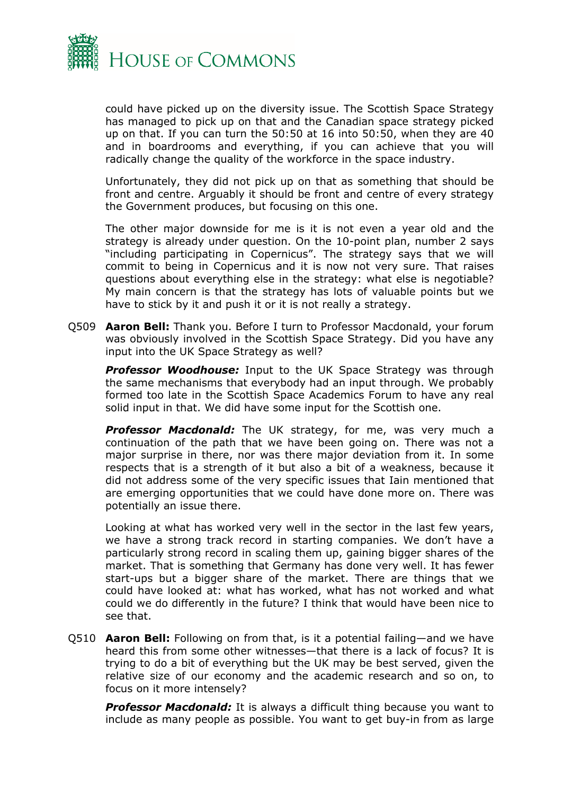

could have picked up on the diversity issue. The Scottish Space Strategy has managed to pick up on that and the Canadian space strategy picked up on that. If you can turn the 50:50 at 16 into 50:50, when they are 40 and in boardrooms and everything, if you can achieve that you will radically change the quality of the workforce in the space industry.

Unfortunately, they did not pick up on that as something that should be front and centre. Arguably it should be front and centre of every strategy the Government produces, but focusing on this one.

The other major downside for me is it is not even a year old and the strategy is already under question. On the 10-point plan, number 2 says "including participating in Copernicus". The strategy says that we will commit to being in Copernicus and it is now not very sure. That raises questions about everything else in the strategy: what else is negotiable? My main concern is that the strategy has lots of valuable points but we have to stick by it and push it or it is not really a strategy.

Q509 **Aaron Bell:** Thank you. Before I turn to Professor Macdonald, your forum was obviously involved in the Scottish Space Strategy. Did you have any input into the UK Space Strategy as well?

*Professor Woodhouse:* Input to the UK Space Strategy was through the same mechanisms that everybody had an input through. We probably formed too late in the Scottish Space Academics Forum to have any real solid input in that. We did have some input for the Scottish one.

*Professor Macdonald:* The UK strategy, for me, was very much a continuation of the path that we have been going on. There was not a major surprise in there, nor was there major deviation from it. In some respects that is a strength of it but also a bit of a weakness, because it did not address some of the very specific issues that Iain mentioned that are emerging opportunities that we could have done more on. There was potentially an issue there.

Looking at what has worked very well in the sector in the last few years, we have a strong track record in starting companies. We don't have a particularly strong record in scaling them up, gaining bigger shares of the market. That is something that Germany has done very well. It has fewer start-ups but a bigger share of the market. There are things that we could have looked at: what has worked, what has not worked and what could we do differently in the future? I think that would have been nice to see that.

Q510 **Aaron Bell:** Following on from that, is it a potential failing—and we have heard this from some other witnesses—that there is a lack of focus? It is trying to do a bit of everything but the UK may be best served, given the relative size of our economy and the academic research and so on, to focus on it more intensely?

*Professor Macdonald:* It is always a difficult thing because you want to include as many people as possible. You want to get buy-in from as large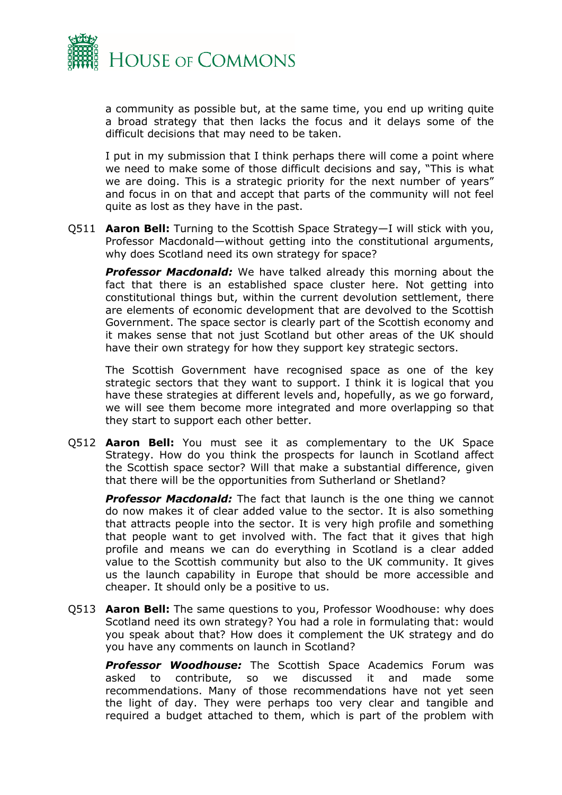

a community as possible but, at the same time, you end up writing quite a broad strategy that then lacks the focus and it delays some of the difficult decisions that may need to be taken.

I put in my submission that I think perhaps there will come a point where we need to make some of those difficult decisions and say, "This is what we are doing. This is a strategic priority for the next number of years" and focus in on that and accept that parts of the community will not feel quite as lost as they have in the past.

Q511 **Aaron Bell:** Turning to the Scottish Space Strategy—I will stick with you, Professor Macdonald—without getting into the constitutional arguments, why does Scotland need its own strategy for space?

*Professor Macdonald:* We have talked already this morning about the fact that there is an established space cluster here. Not getting into constitutional things but, within the current devolution settlement, there are elements of economic development that are devolved to the Scottish Government. The space sector is clearly part of the Scottish economy and it makes sense that not just Scotland but other areas of the UK should have their own strategy for how they support key strategic sectors.

The Scottish Government have recognised space as one of the key strategic sectors that they want to support. I think it is logical that you have these strategies at different levels and, hopefully, as we go forward, we will see them become more integrated and more overlapping so that they start to support each other better.

Q512 **Aaron Bell:** You must see it as complementary to the UK Space Strategy. How do you think the prospects for launch in Scotland affect the Scottish space sector? Will that make a substantial difference, given that there will be the opportunities from Sutherland or Shetland?

*Professor Macdonald:* The fact that launch is the one thing we cannot do now makes it of clear added value to the sector. It is also something that attracts people into the sector. It is very high profile and something that people want to get involved with. The fact that it gives that high profile and means we can do everything in Scotland is a clear added value to the Scottish community but also to the UK community. It gives us the launch capability in Europe that should be more accessible and cheaper. It should only be a positive to us.

Q513 **Aaron Bell:** The same questions to you, Professor Woodhouse: why does Scotland need its own strategy? You had a role in formulating that: would you speak about that? How does it complement the UK strategy and do you have any comments on launch in Scotland?

*Professor Woodhouse:* The Scottish Space Academics Forum was asked to contribute, so we discussed it and made some recommendations. Many of those recommendations have not yet seen the light of day. They were perhaps too very clear and tangible and required a budget attached to them, which is part of the problem with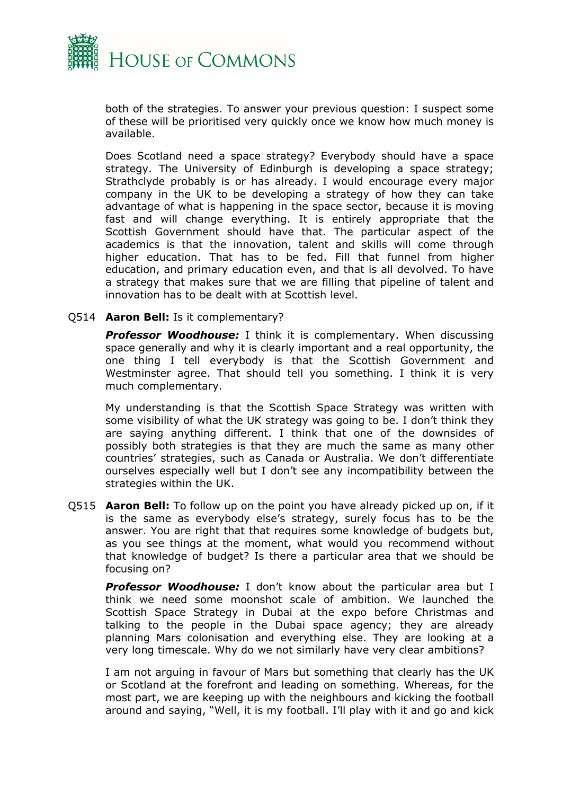

both of the strategies. To answer your previous question: I suspect some of these will be prioritised very quickly once we know how much money is available.

Does Scotland need a space strategy? Everybody should have a space strategy. The University of Edinburgh is developing a space strategy; Strathclyde probably is or has already. I would encourage every major company in the UK to be developing a strategy of how they can take advantage of what is happening in the space sector, because it is moving fast and will change everything. It is entirely appropriate that the Scottish Government should have that. The particular aspect of the academics is that the innovation, talent and skills will come through higher education. That has to be fed. Fill that funnel from higher education, and primary education even, and that is all devolved. To have a strategy that makes sure that we are filling that pipeline of talent and innovation has to be dealt with at Scottish level.

#### Q514 **Aaron Bell:** Is it complementary?

*Professor Woodhouse:* I think it is complementary. When discussing space generally and why it is clearly important and a real opportunity, the one thing I tell everybody is that the Scottish Government and Westminster agree. That should tell you something. I think it is very much complementary.

My understanding is that the Scottish Space Strategy was written with some visibility of what the UK strategy was going to be. I don't think they are saying anything different. I think that one of the downsides of possibly both strategies is that they are much the same as many other countries' strategies, such as Canada or Australia. We don't differentiate ourselves especially well but I don't see any incompatibility between the strategies within the UK.

Q515 **Aaron Bell:** To follow up on the point you have already picked up on, if it is the same as everybody else's strategy, surely focus has to be the answer. You are right that that requires some knowledge of budgets but, as you see things at the moment, what would you recommend without that knowledge of budget? Is there a particular area that we should be focusing on?

*Professor Woodhouse:* I don't know about the particular area but I think we need some moonshot scale of ambition. We launched the Scottish Space Strategy in Dubai at the expo before Christmas and talking to the people in the Dubai space agency; they are already planning Mars colonisation and everything else. They are looking at a very long timescale. Why do we not similarly have very clear ambitions?

I am not arguing in favour of Mars but something that clearly has the UK or Scotland at the forefront and leading on something. Whereas, for the most part, we are keeping up with the neighbours and kicking the football around and saying, "Well, it is my football. I'll play with it and go and kick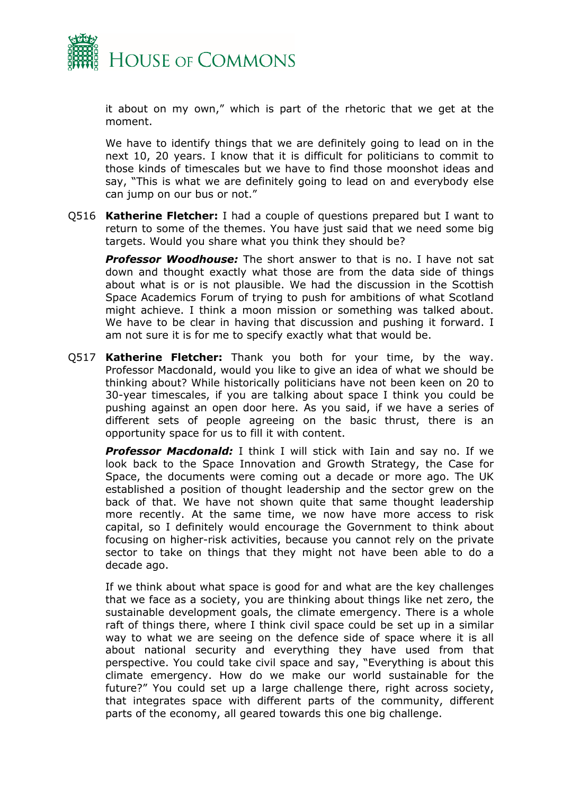

it about on my own," which is part of the rhetoric that we get at the moment.

We have to identify things that we are definitely going to lead on in the next 10, 20 years. I know that it is difficult for politicians to commit to those kinds of timescales but we have to find those moonshot ideas and say, "This is what we are definitely going to lead on and everybody else can jump on our bus or not."

Q516 **Katherine Fletcher:** I had a couple of questions prepared but I want to return to some of the themes. You have just said that we need some big targets. Would you share what you think they should be?

*Professor Woodhouse:* The short answer to that is no. I have not sat down and thought exactly what those are from the data side of things about what is or is not plausible. We had the discussion in the Scottish Space Academics Forum of trying to push for ambitions of what Scotland might achieve. I think a moon mission or something was talked about. We have to be clear in having that discussion and pushing it forward. I am not sure it is for me to specify exactly what that would be.

Q517 **Katherine Fletcher:** Thank you both for your time, by the way. Professor Macdonald, would you like to give an idea of what we should be thinking about? While historically politicians have not been keen on 20 to 30-year timescales, if you are talking about space I think you could be pushing against an open door here. As you said, if we have a series of different sets of people agreeing on the basic thrust, there is an opportunity space for us to fill it with content.

*Professor Macdonald:* I think I will stick with Iain and say no. If we look back to the Space Innovation and Growth Strategy, the Case for Space, the documents were coming out a decade or more ago. The UK established a position of thought leadership and the sector grew on the back of that. We have not shown quite that same thought leadership more recently. At the same time, we now have more access to risk capital, so I definitely would encourage the Government to think about focusing on higher-risk activities, because you cannot rely on the private sector to take on things that they might not have been able to do a decade ago.

If we think about what space is good for and what are the key challenges that we face as a society, you are thinking about things like net zero, the sustainable development goals, the climate emergency. There is a whole raft of things there, where I think civil space could be set up in a similar way to what we are seeing on the defence side of space where it is all about national security and everything they have used from that perspective. You could take civil space and say, "Everything is about this climate emergency. How do we make our world sustainable for the future?" You could set up a large challenge there, right across society, that integrates space with different parts of the community, different parts of the economy, all geared towards this one big challenge.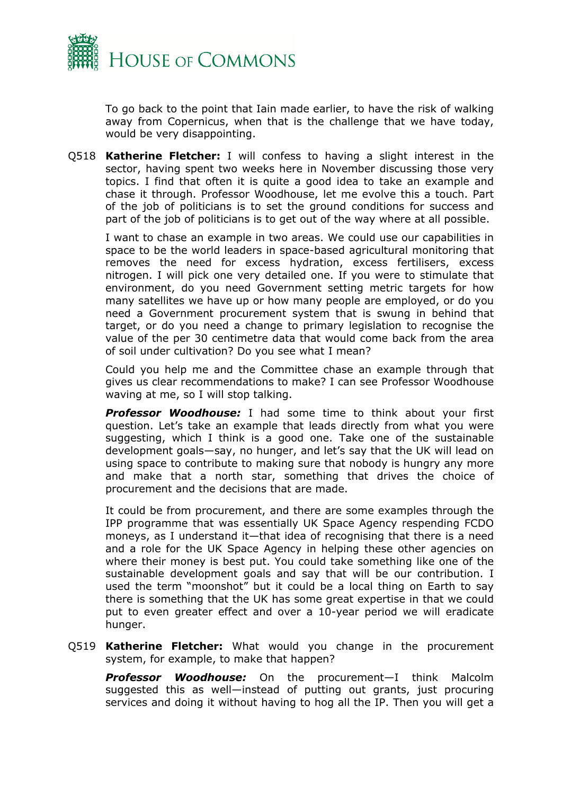

To go back to the point that Iain made earlier, to have the risk of walking away from Copernicus, when that is the challenge that we have today, would be very disappointing.

Q518 **Katherine Fletcher:** I will confess to having a slight interest in the sector, having spent two weeks here in November discussing those very topics. I find that often it is quite a good idea to take an example and chase it through. Professor Woodhouse, let me evolve this a touch. Part of the job of politicians is to set the ground conditions for success and part of the job of politicians is to get out of the way where at all possible.

I want to chase an example in two areas. We could use our capabilities in space to be the world leaders in space-based agricultural monitoring that removes the need for excess hydration, excess fertilisers, excess nitrogen. I will pick one very detailed one. If you were to stimulate that environment, do you need Government setting metric targets for how many satellites we have up or how many people are employed, or do you need a Government procurement system that is swung in behind that target, or do you need a change to primary legislation to recognise the value of the per 30 centimetre data that would come back from the area of soil under cultivation? Do you see what I mean?

Could you help me and the Committee chase an example through that gives us clear recommendations to make? I can see Professor Woodhouse waving at me, so I will stop talking.

*Professor Woodhouse:* I had some time to think about your first question. Let's take an example that leads directly from what you were suggesting, which I think is a good one. Take one of the sustainable development goals—say, no hunger, and let's say that the UK will lead on using space to contribute to making sure that nobody is hungry any more and make that a north star, something that drives the choice of procurement and the decisions that are made.

It could be from procurement, and there are some examples through the IPP programme that was essentially UK Space Agency respending FCDO moneys, as I understand it—that idea of recognising that there is a need and a role for the UK Space Agency in helping these other agencies on where their money is best put. You could take something like one of the sustainable development goals and say that will be our contribution. I used the term "moonshot" but it could be a local thing on Earth to say there is something that the UK has some great expertise in that we could put to even greater effect and over a 10-year period we will eradicate hunger.

Q519 **Katherine Fletcher:** What would you change in the procurement system, for example, to make that happen?

*Professor Woodhouse:* On the procurement—I think Malcolm suggested this as well—instead of putting out grants, just procuring services and doing it without having to hog all the IP. Then you will get a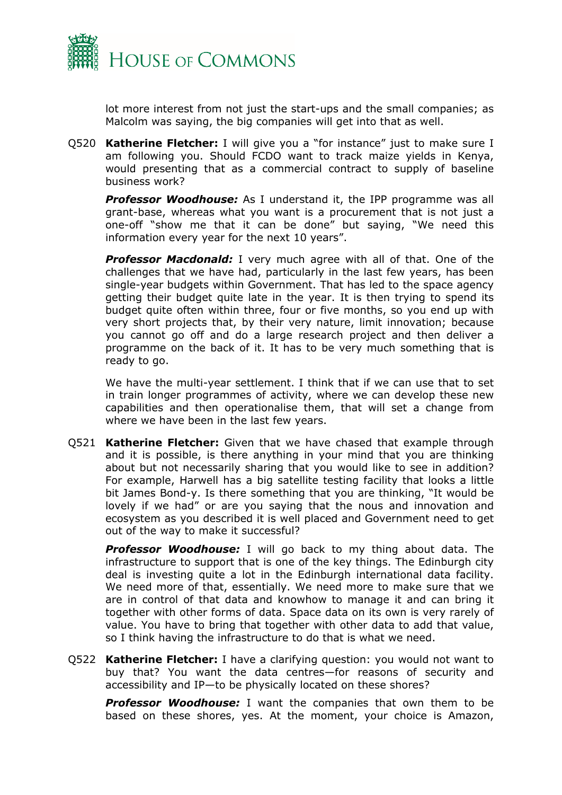

lot more interest from not just the start-ups and the small companies; as Malcolm was saying, the big companies will get into that as well.

Q520 **Katherine Fletcher:** I will give you a "for instance" just to make sure I am following you. Should FCDO want to track maize yields in Kenya, would presenting that as a commercial contract to supply of baseline business work?

*Professor Woodhouse:* As I understand it, the IPP programme was all grant-base, whereas what you want is a procurement that is not just a one-off "show me that it can be done" but saying, "We need this information every year for the next 10 years".

**Professor Macdonald:** I very much agree with all of that. One of the challenges that we have had, particularly in the last few years, has been single-year budgets within Government. That has led to the space agency getting their budget quite late in the year. It is then trying to spend its budget quite often within three, four or five months, so you end up with very short projects that, by their very nature, limit innovation; because you cannot go off and do a large research project and then deliver a programme on the back of it. It has to be very much something that is ready to go.

We have the multi-year settlement. I think that if we can use that to set in train longer programmes of activity, where we can develop these new capabilities and then operationalise them, that will set a change from where we have been in the last few years.

Q521 **Katherine Fletcher:** Given that we have chased that example through and it is possible, is there anything in your mind that you are thinking about but not necessarily sharing that you would like to see in addition? For example, Harwell has a big satellite testing facility that looks a little bit James Bond-y. Is there something that you are thinking, "It would be lovely if we had" or are you saying that the nous and innovation and ecosystem as you described it is well placed and Government need to get out of the way to make it successful?

*Professor Woodhouse:* I will go back to my thing about data. The infrastructure to support that is one of the key things. The Edinburgh city deal is investing quite a lot in the Edinburgh international data facility. We need more of that, essentially. We need more to make sure that we are in control of that data and knowhow to manage it and can bring it together with other forms of data. Space data on its own is very rarely of value. You have to bring that together with other data to add that value, so I think having the infrastructure to do that is what we need.

Q522 **Katherine Fletcher:** I have a clarifying question: you would not want to buy that? You want the data centres—for reasons of security and accessibility and IP—to be physically located on these shores?

*Professor Woodhouse:* I want the companies that own them to be based on these shores, yes. At the moment, your choice is Amazon,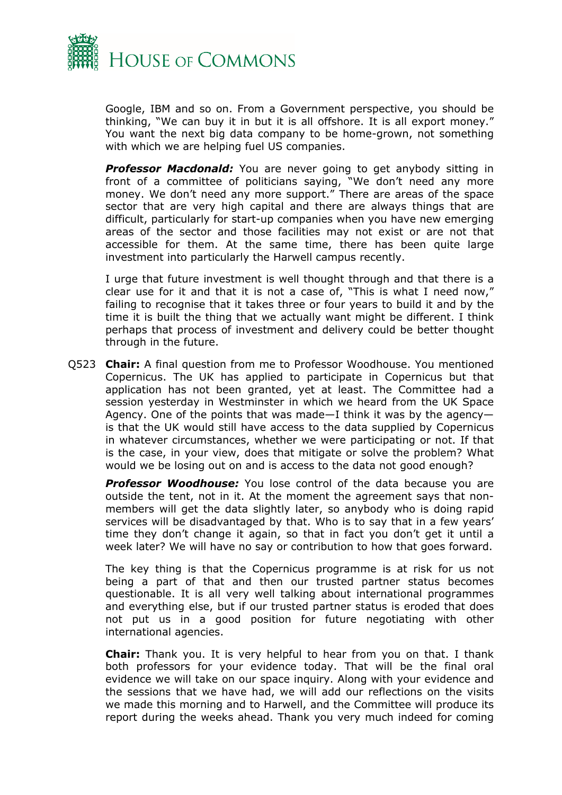

Google, IBM and so on. From a Government perspective, you should be thinking, "We can buy it in but it is all offshore. It is all export money." You want the next big data company to be home-grown, not something with which we are helping fuel US companies.

**Professor Macdonald:** You are never going to get anybody sitting in front of a committee of politicians saying, "We don't need any more money. We don't need any more support." There are areas of the space sector that are very high capital and there are always things that are difficult, particularly for start-up companies when you have new emerging areas of the sector and those facilities may not exist or are not that accessible for them. At the same time, there has been quite large investment into particularly the Harwell campus recently.

I urge that future investment is well thought through and that there is a clear use for it and that it is not a case of, "This is what I need now," failing to recognise that it takes three or four years to build it and by the time it is built the thing that we actually want might be different. I think perhaps that process of investment and delivery could be better thought through in the future.

Q523 **Chair:** A final question from me to Professor Woodhouse. You mentioned Copernicus. The UK has applied to participate in Copernicus but that application has not been granted, yet at least. The Committee had a session yesterday in Westminster in which we heard from the UK Space Agency. One of the points that was made—I think it was by the agency is that the UK would still have access to the data supplied by Copernicus in whatever circumstances, whether we were participating or not. If that is the case, in your view, does that mitigate or solve the problem? What would we be losing out on and is access to the data not good enough?

**Professor Woodhouse:** You lose control of the data because you are outside the tent, not in it. At the moment the agreement says that nonmembers will get the data slightly later, so anybody who is doing rapid services will be disadvantaged by that. Who is to say that in a few years' time they don't change it again, so that in fact you don't get it until a week later? We will have no say or contribution to how that goes forward.

The key thing is that the Copernicus programme is at risk for us not being a part of that and then our trusted partner status becomes questionable. It is all very well talking about international programmes and everything else, but if our trusted partner status is eroded that does not put us in a good position for future negotiating with other international agencies.

**Chair:** Thank you. It is very helpful to hear from you on that. I thank both professors for your evidence today. That will be the final oral evidence we will take on our space inquiry. Along with your evidence and the sessions that we have had, we will add our reflections on the visits we made this morning and to Harwell, and the Committee will produce its report during the weeks ahead. Thank you very much indeed for coming